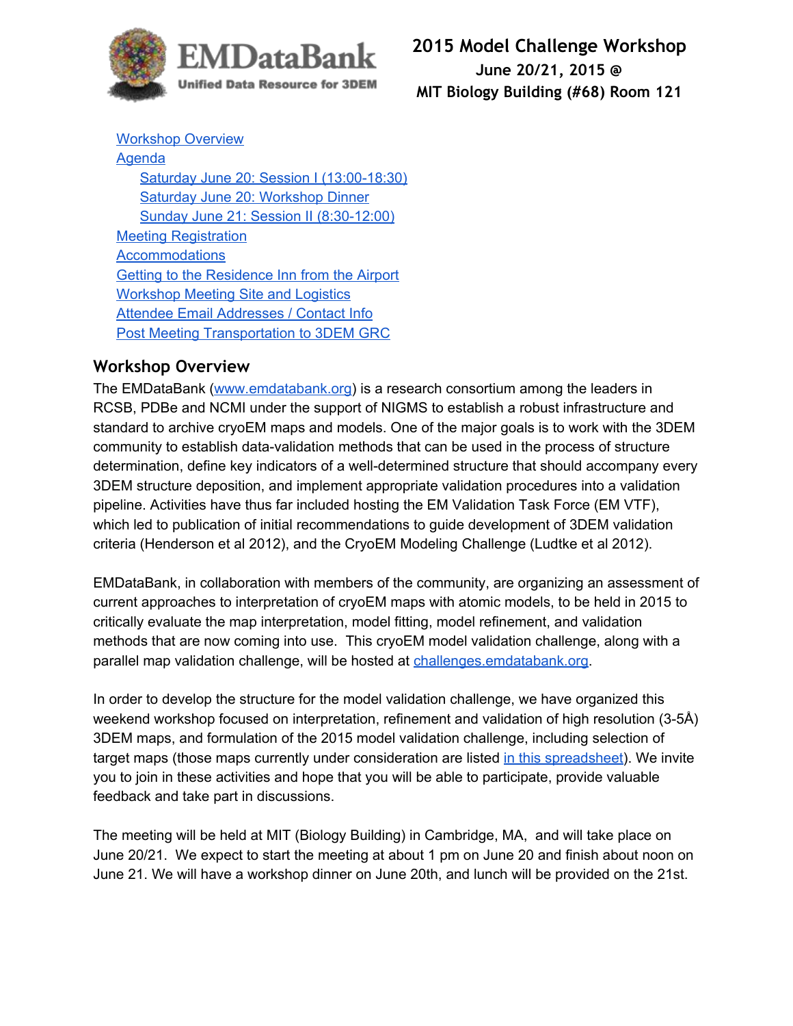

**2015 Model Challenge Workshop June 20/21, 2015 @ MIT Biology Building (#68) Room 121**

[Workshop](#page-0-0) Overview [Agenda](#page-1-0) Saturday June 20: Session I (13:00-18:30) Saturday June 20: [Workshop](#page-1-2) Dinner Sunday June 21: Session II (8:30-12:00) Meeting [Registration](#page-2-1) **[Accommodations](#page-2-2)** Getting to the [Residence](#page-2-3) Inn from the Airport [Workshop](#page-3-0) Meeting Site and Logistics **Attendee Email [Addresses](#page-4-0) / Contact Info** Post Meeting [Transportation](#page-5-0) to 3DEM GRC

## <span id="page-0-0"></span>**Workshop Overview**

The EMDataBank [\(www.emdatabank.org\)](http://www.emdatabank.org/) is a research consortium among the leaders in RCSB, PDBe and NCMI under the support of NIGMS to establish a robust infrastructure and standard to archive cryoEM maps and models. One of the major goals is to work with the 3DEM community to establish data-validation methods that can be used in the process of structure determination, define key indicators of a well-determined structure that should accompany every 3DEM structure deposition, and implement appropriate validation procedures into a validation pipeline. Activities have thus far included hosting the EM Validation Task Force (EM VTF), which led to publication of initial recommendations to guide development of 3DEM validation criteria (Henderson et al 2012), and the CryoEM Modeling Challenge (Ludtke et al 2012).

EMDataBank, in collaboration with members of the community, are organizing an assessment of current approaches to interpretation of cryoEM maps with atomic models, to be held in 2015 to critically evaluate the map interpretation, model fitting, model refinement, and validation methods that are now coming into use. This cryoEM model validation challenge, along with a parallel map validation challenge, will be hosted at [challenges.emdatabank.org.](http://challenges.emdatabank.org/)

In order to develop the structure for the model validation challenge, we have organized this weekend workshop focused on interpretation, refinement and validation of high resolution (3-5Å) 3DEM maps, and formulation of the 2015 model validation challenge, including selection of target maps (those maps currently under consideration are listed in this [spreadsheet\)](https://docs.google.com/spreadsheets/d/1TKEWy8hHbbCB1YuSk3_C4GcYz_tIKqgg3ljvNOWgeSM/edit?usp=sharing). We invite you to join in these activities and hope that you will be able to participate, provide valuable feedback and take part in discussions.

The meeting will be held at MIT (Biology Building) in Cambridge, MA, and will take place on June 20/21. We expect to start the meeting at about 1 pm on June 20 and finish about noon on June 21. We will have a workshop dinner on June 20th, and lunch will be provided on the 21st.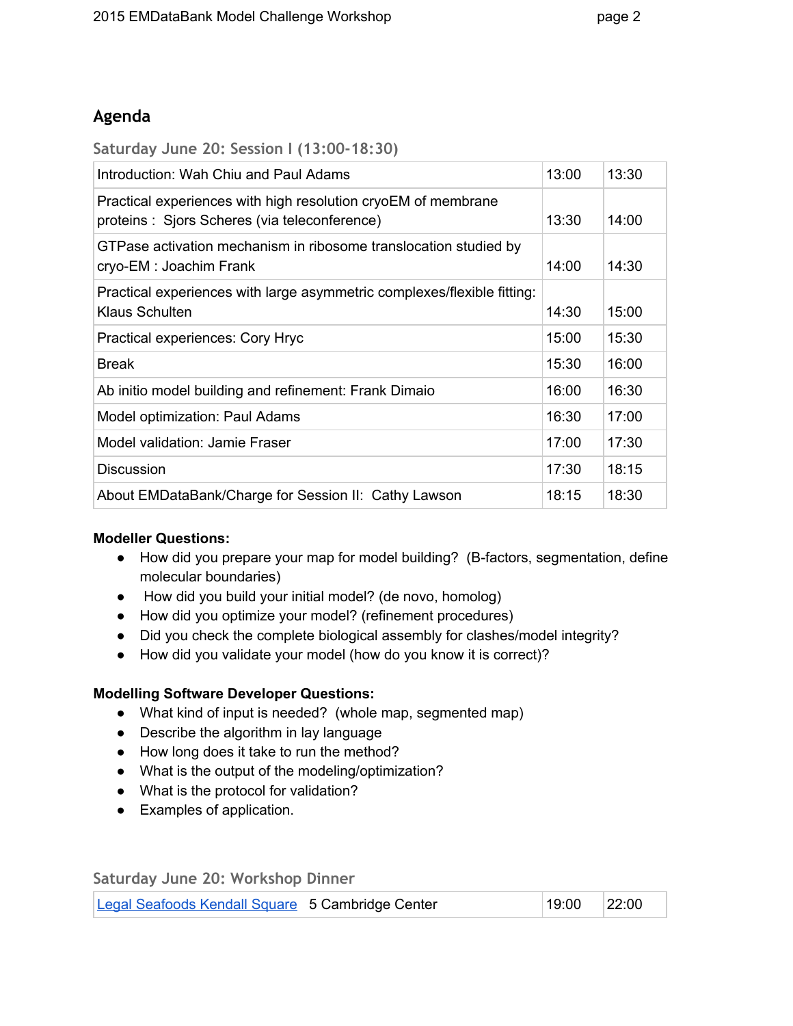# <span id="page-1-0"></span>**Agenda**

<span id="page-1-1"></span>**Saturday June 20: Session I (13:00-18:30)**

| Introduction: Wah Chiu and Paul Adams                                                                          | 13:00 | 13:30 |
|----------------------------------------------------------------------------------------------------------------|-------|-------|
| Practical experiences with high resolution cryoEM of membrane<br>proteins : Sjors Scheres (via teleconference) | 13:30 | 14:00 |
| GTPase activation mechanism in ribosome translocation studied by<br>cryo-EM : Joachim Frank                    | 14:00 | 14:30 |
| Practical experiences with large asymmetric complexes/flexible fitting:<br>Klaus Schulten                      | 14:30 | 15:00 |
| Practical experiences: Cory Hryc                                                                               | 15:00 | 15:30 |
| <b>Break</b>                                                                                                   | 15:30 | 16:00 |
| Ab initio model building and refinement: Frank Dimaio                                                          | 16:00 | 16:30 |
| Model optimization: Paul Adams                                                                                 | 16:30 | 17:00 |
| Model validation: Jamie Fraser                                                                                 | 17:00 | 17:30 |
| <b>Discussion</b>                                                                                              | 17:30 | 18:15 |
| About EMDataBank/Charge for Session II: Cathy Lawson                                                           | 18:15 | 18:30 |

#### **Modeller Questions:**

- How did you prepare your map for model building? (B-factors, segmentation, define molecular boundaries)
- How did you build your initial model? (de novo, homolog)
- How did you optimize your model? (refinement procedures)
- Did you check the complete biological assembly for clashes/model integrity?
- How did you validate your model (how do you know it is correct)?

#### **Modelling Software Developer Questions:**

- What kind of input is needed? (whole map, segmented map)
- Describe the algorithm in lay language
- How long does it take to run the method?
- What is the output of the modeling/optimization?
- What is the protocol for validation?
- Examples of application.

<span id="page-1-2"></span>**Saturday June 20: Workshop Dinner**

| Legal Seafoods Kendall Square 5 Cambridge Center | 22:00<br>19:00 |
|--------------------------------------------------|----------------|
|--------------------------------------------------|----------------|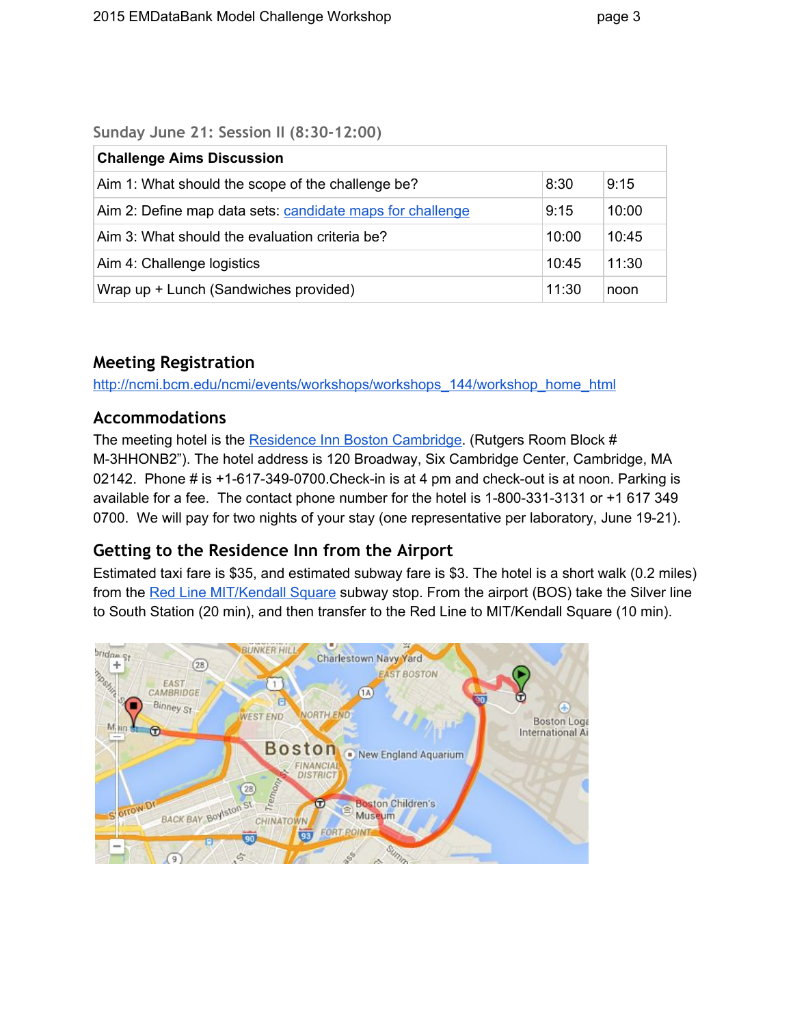<span id="page-2-0"></span>**Sunday June 21: Session II (8:30-12:00)**

| <b>Challenge Aims Discussion</b>                          |       |       |
|-----------------------------------------------------------|-------|-------|
| Aim 1: What should the scope of the challenge be?         | 8:30  | 9:15  |
| Aim 2: Define map data sets: candidate maps for challenge | 9:15  | 10:00 |
| Aim 3: What should the evaluation criteria be?            | 10:00 | 10:45 |
| Aim 4: Challenge logistics                                | 10:45 | 11:30 |
| Wrap up + Lunch (Sandwiches provided)                     | 11:30 | noon  |

## <span id="page-2-1"></span>**Meeting Registration**

[http://ncmi.bcm.edu/ncmi/events/workshops/workshops\\_144/workshop\\_home\\_html](http://ncmi.bcm.edu/ncmi/events/workshops/workshops_144/workshop_home_html)

# <span id="page-2-2"></span>**Accommodations**

The meeting hotel is the Residence Inn Boston [Cambridge.](http://www.marriott.com/hotels/travel/boscm-residence-inn-boston-cambridge/) (Rutgers Room Block # M3HHONB2"). The hotel address is 120 Broadway, Six Cambridge Center, Cambridge, MA 02142. Phone # is  $+1$ -617-349-0700. Check-in is at 4 pm and check-out is at noon. Parking is available for a fee. The contact phone number for the hotel is 1-800-331-3131 or  $+1$  617 349 0700. We will pay for two nights of your stay (one representative per laboratory, June 19-21).

# <span id="page-2-3"></span>**Getting to the Residence Inn from the Airport**

Estimated taxi fare is \$35, and estimated subway fare is \$3. The hotel is a short walk (0.2 miles) from the Red Line [MIT/Kendall](http://www.mbta.com/) Square subway stop. From the airport (BOS) take the Silver line to South Station (20 min), and then transfer to the Red Line to MIT/Kendall Square (10 min).

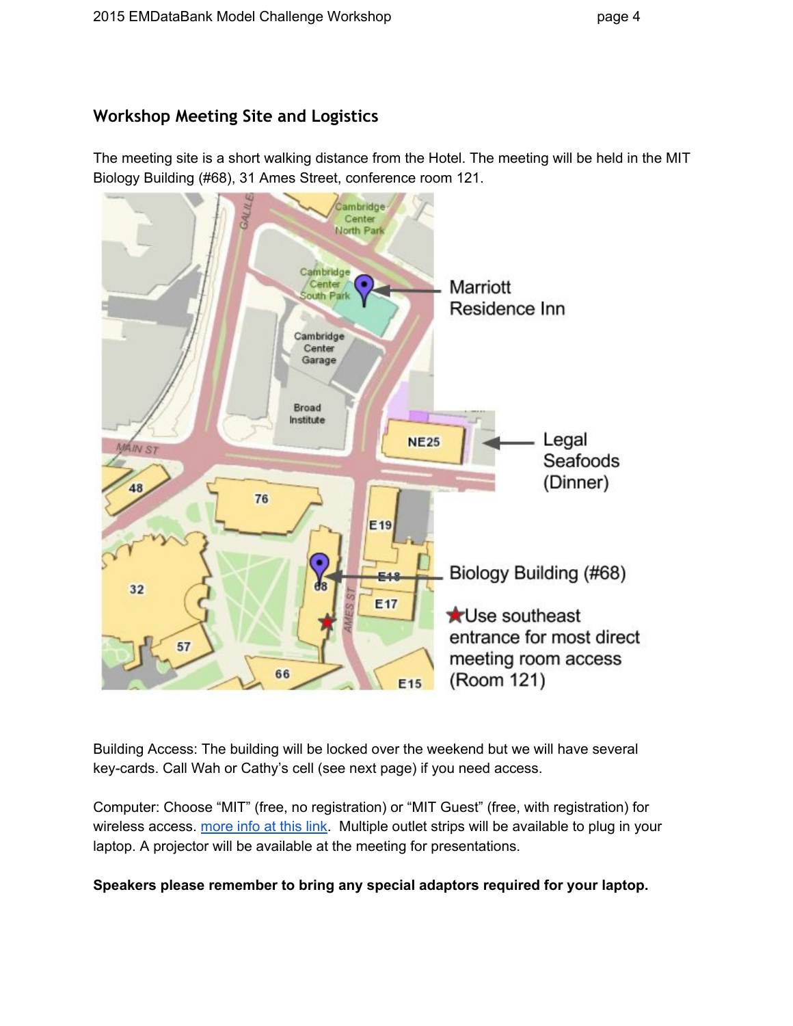<span id="page-3-0"></span>The meeting site is a short walking distance from the Hotel. The meeting will be held in the MIT Biology Building (#68), 31 Ames Street, conference room 121.



Building Access: The building will be locked over the weekend but we will have several key-cards. Call Wah or Cathy's cell (see next page) if you need access.

Computer: Choose "MIT" (free, no registration) or "MIT Guest" (free, with registration) for wireless access. [more](http://kb.mit.edu/confluence/display/istcontrib/The+MIT+GUEST+Wireless+Network) info at this link. Multiple outlet strips will be available to plug in your laptop. A projector will be available at the meeting for presentations.

## **Speakers please remember to bring any special adaptors required for your laptop.**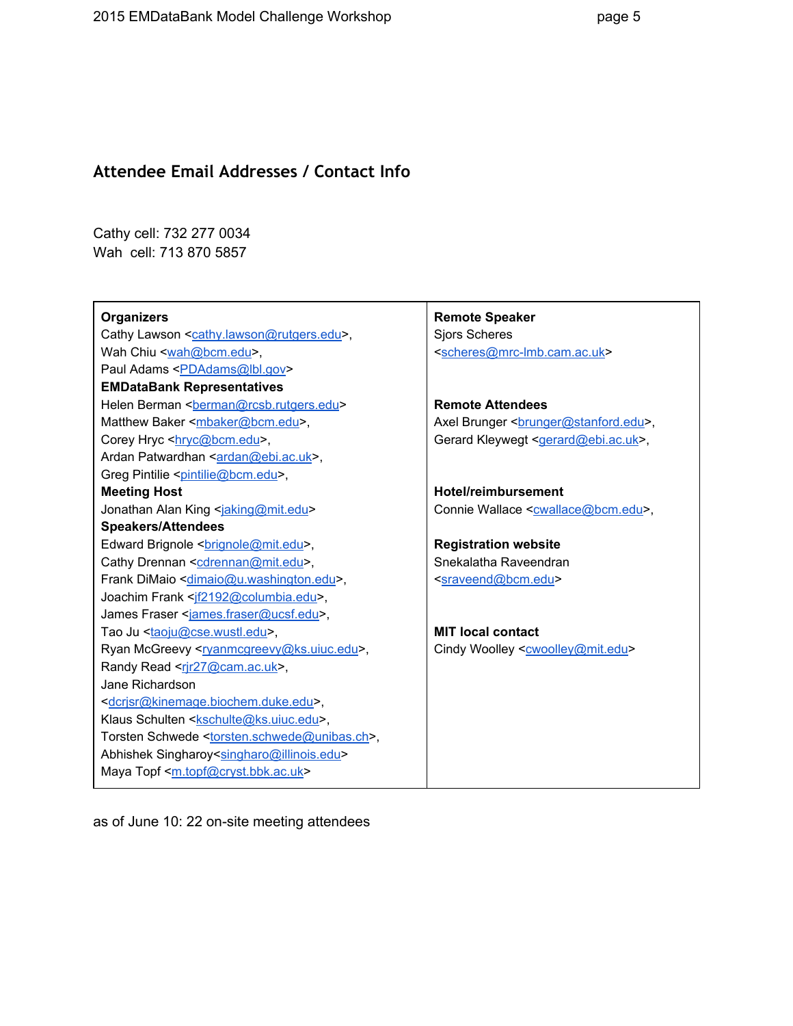#### <span id="page-4-0"></span>**Attendee Email Addresses / Contact Info**

Cathy cell: 732 277 0034 Wah cell: 713 870 5857

#### **Organizers**

Cathy Lawson [<cathy.lawson@rutgers.edu>](mailto:cathy.lawson@rutgers.edu), Wah Chiu [<wah@bcm.edu>](mailto:wah@bcm.edu), Paul Adams <**PDAdams@lbl.gov**> **EMDataBank Representatives** Helen Berman [<berman@rcsb.rutgers.edu](mailto:berman@rcsb.rutgers.edu)> Matthew Baker [<mbaker@bcm.edu>](mailto:mbaker@bcm.edu), Corey Hryc <httpc@bcm.edu>, Ardan Patwardhan [<ardan@ebi.ac.uk>](mailto:ardan@ebi.ac.uk), Greg Pintilie <[pintilie@bcm.edu](mailto:pintilie@bcm.edu)>, **Meeting Host** Jonathan Alan King [<jaking@mit.edu](mailto:jaking@mit.edu)> **Speakers/Attendees** Edward Brignole <br />
<u>contegents.edu</u>>, Cathy Drennan <[cdrennan@mit.edu>](mailto:cdrennan@mit.edu), Frank DiMaio [<dimaio@u.washington.edu>](mailto:dimaio@u.washington.edu), Joachim Frank <if2192@columbia.edu>, James Fraser <[james.fraser@ucsf.edu>](mailto:james.fraser@ucsf.edu), Tao Ju [<taoju@cse.wustl.edu>](mailto:taoju@cse.wustl.edu), Ryan McGreevy [<ryanmcgreevy@ks.uiuc.edu>](mailto:ryanmcgreevy@ks.uiuc.edu), Randy Read <rir27@cam.ac.uk>, Jane Richardson [<dcrjsr@kinemage.biochem.duke.edu](mailto:dcrjsr@kinemage.biochem.duke.edu)>, Klaus Schulten [<kschulte@ks.uiuc.edu>](mailto:kschulte@ks.uiuc.edu), Torsten Schwede [<torsten.schwede@unibas.ch>](mailto:torsten.schwede@unibas.ch), Abhishek Singharoy[<singharo@illinois.edu](mailto:singharo@illinois.edu)> Maya Topf [<m.topf@cryst.bbk.ac.uk>](mailto:m.topf@cryst.bbk.ac.uk)

**Remote Speaker** Sjors Scheres <scheres@mrc-lmb.cam.ac.uk>

**Remote Attendees** Axel Brunger <br/>
<u>connecteduxereduxereduxereduxereduxereduxereduxereduxereduxereduxereduxereduxereduxereduxereduxereduxereduxeredu</u> Gerard Kleywegt [<gerard@ebi.ac.uk>](mailto:gerard@ebi.ac.uk),

**Hotel/reimbursement** Connie Wallace <[cwallace@bcm.edu>](mailto:cwallace@bcm.edu),

**Registration website** Snekalatha Raveendran [<sraveend@bcm.edu>](mailto:sraveend@bcm.edu)

**MIT local contact** Cindy Woolley <[cwoolley@mit.edu](mailto:cwoolley@mit.edu)>

as of June 10: 22 on-site meeting attendees